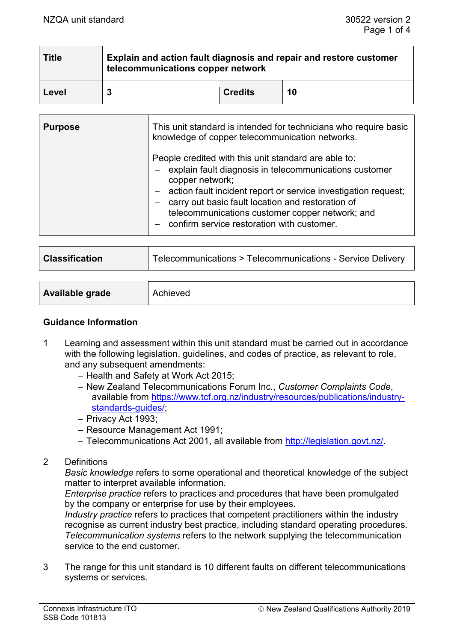| <b>Title</b> | Explain and action fault diagnosis and repair and restore customer<br>telecommunications copper network |                |    |  |
|--------------|---------------------------------------------------------------------------------------------------------|----------------|----|--|
| Level        |                                                                                                         | <b>Credits</b> | 10 |  |

| <b>Purpose</b> | This unit standard is intended for technicians who require basic<br>knowledge of copper telecommunication networks.                                                                                                                                                                                                                                               |
|----------------|-------------------------------------------------------------------------------------------------------------------------------------------------------------------------------------------------------------------------------------------------------------------------------------------------------------------------------------------------------------------|
|                | People credited with this unit standard are able to:<br>- explain fault diagnosis in telecommunications customer<br>copper network;<br>- action fault incident report or service investigation request;<br>- carry out basic fault location and restoration of<br>telecommunications customer copper network; and<br>- confirm service restoration with customer. |

| <b>Classification</b> | Telecommunications > Telecommunications - Service Delivery |  |
|-----------------------|------------------------------------------------------------|--|
|                       |                                                            |  |
|                       |                                                            |  |

| Available grade | Achieved |
|-----------------|----------|
|                 |          |

# **Guidance Information**

- 1 Learning and assessment within this unit standard must be carried out in accordance with the following legislation, guidelines, and codes of practice, as relevant to role, and any subsequent amendments:
	- − Health and Safety at Work Act 2015;
	- − New Zealand Telecommunications Forum Inc., *Customer Complaints Code*, available from [https://www.tcf.org.nz/industry/resources/publications/industry](https://www.tcf.org.nz/industry/resources/publications/industry-standards-guides/)[standards-guides/;](https://www.tcf.org.nz/industry/resources/publications/industry-standards-guides/)
	- − Privacy Act 1993;
	- − Resource Management Act 1991;
	- − Telecommunications Act 2001, all available from [http://legislation.govt.nz/.](http://legislation.govt.nz/)
- 2 Definitions

*Basic knowledge* refers to some operational and theoretical knowledge of the subject matter to interpret available information.

*Enterprise practice* refers to practices and procedures that have been promulgated by the company or enterprise for use by their employees.

*Industry practice* refers to practices that competent practitioners within the industry recognise as current industry best practice, including standard operating procedures. *Telecommunication systems* refers to the network supplying the telecommunication service to the end customer.

3 The range for this unit standard is 10 different faults on different telecommunications systems or services.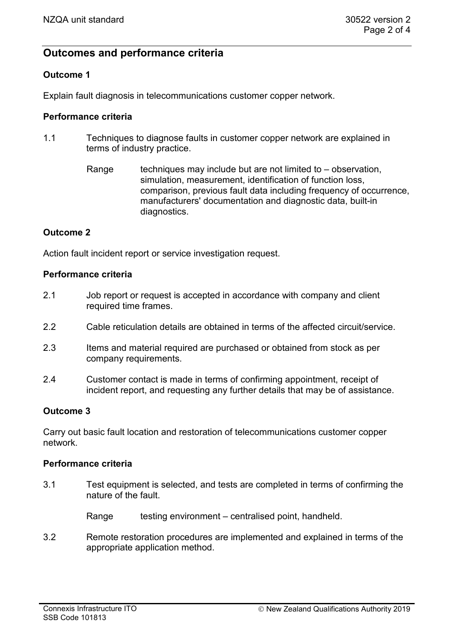# **Outcomes and performance criteria**

# **Outcome 1**

Explain fault diagnosis in telecommunications customer copper network.

# **Performance criteria**

- 1.1 Techniques to diagnose faults in customer copper network are explained in terms of industry practice.
	- Range techniques may include but are not limited to  $-$  observation, simulation, measurement, identification of function loss, comparison, previous fault data including frequency of occurrence, manufacturers' documentation and diagnostic data, built-in diagnostics.

# **Outcome 2**

Action fault incident report or service investigation request.

#### **Performance criteria**

- 2.1 Job report or request is accepted in accordance with company and client required time frames.
- 2.2 Cable reticulation details are obtained in terms of the affected circuit/service.
- 2.3 Items and material required are purchased or obtained from stock as per company requirements.
- 2.4 Customer contact is made in terms of confirming appointment, receipt of incident report, and requesting any further details that may be of assistance.

# **Outcome 3**

Carry out basic fault location and restoration of telecommunications customer copper network.

#### **Performance criteria**

- 3.1 Test equipment is selected, and tests are completed in terms of confirming the nature of the fault.
	- Range testing environment centralised point, handheld.
- 3.2 Remote restoration procedures are implemented and explained in terms of the appropriate application method.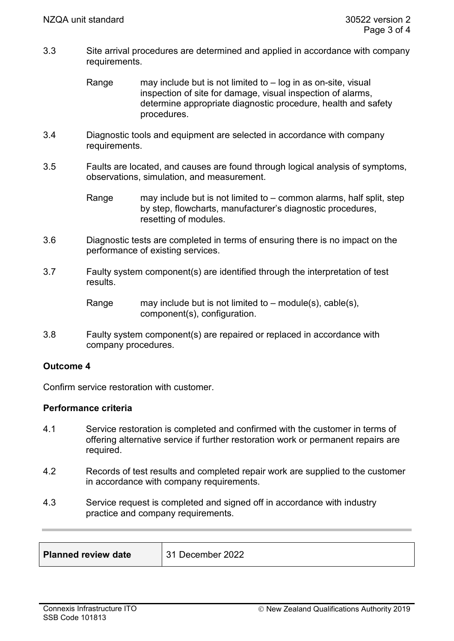- 3.3 Site arrival procedures are determined and applied in accordance with company requirements.
	- Range may include but is not limited to  $-$  log in as on-site, visual inspection of site for damage, visual inspection of alarms, determine appropriate diagnostic procedure, health and safety procedures.
- 3.4 Diagnostic tools and equipment are selected in accordance with company requirements.
- 3.5 Faults are located, and causes are found through logical analysis of symptoms, observations, simulation, and measurement.
	- Range may include but is not limited to common alarms, half split, step by step, flowcharts, manufacturer's diagnostic procedures, resetting of modules.
- 3.6 Diagnostic tests are completed in terms of ensuring there is no impact on the performance of existing services.
- 3.7 Faulty system component(s) are identified through the interpretation of test results.

Range may include but is not limited to – module(s), cable(s), component(s), configuration.

3.8 Faulty system component(s) are repaired or replaced in accordance with company procedures.

# **Outcome 4**

Confirm service restoration with customer.

# **Performance criteria**

- 4.1 Service restoration is completed and confirmed with the customer in terms of offering alternative service if further restoration work or permanent repairs are required.
- 4.2 Records of test results and completed repair work are supplied to the customer in accordance with company requirements.
- 4.3 Service request is completed and signed off in accordance with industry practice and company requirements.

| <b>Planned review date</b> | 31 December 2022 |
|----------------------------|------------------|
|                            |                  |